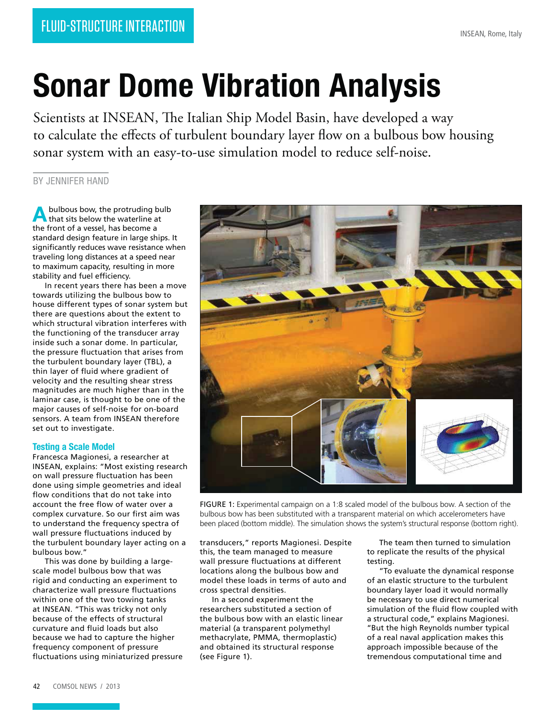# **Sonar Dome Vibration Analysis**

Scientists at INSEAN, The Italian Ship Model Basin, have developed a way to calculate the effects of turbulent boundary layer flow on a bulbous bow housing sonar system with an easy-to-use simulation model to reduce self-noise.

## BY JENNIFER HAND

**A** bulbous bow, the protruding but that sits below the waterline at bulbous bow, the protruding bulb the front of a vessel, has become a standard design feature in large ships. It significantly reduces wave resistance when traveling long distances at a speed near to maximum capacity, resulting in more stability and fuel efficiency.

In recent years there has been a move towards utilizing the bulbous bow to house different types of sonar system but there are questions about the extent to which structural vibration interferes with the functioning of the transducer array inside such a sonar dome. In particular, the pressure fluctuation that arises from the turbulent boundary layer (TBL), a thin layer of fluid where gradient of velocity and the resulting shear stress magnitudes are much higher than in the laminar case, is thought to be one of the major causes of self-noise for on-board sensors. A team from INSEAN therefore set out to investigate.

#### **Testing a Scale Model**

Francesca Magionesi, a researcher at INSEAN, explains: "Most existing research on wall pressure fluctuation has been done using simple geometries and ideal flow conditions that do not take into account the free flow of water over a complex curvature. So our first aim was to understand the frequency spectra of wall pressure fluctuations induced by the turbulent boundary layer acting on a bulbous bow."

This was done by building a largescale model bulbous bow that was rigid and conducting an experiment to characterize wall pressure fluctuations within one of the two towing tanks at INSEAN. "This was tricky not only because of the effects of structural curvature and fluid loads but also because we had to capture the higher frequency component of pressure fluctuations using miniaturized pressure



FIGURE 1: Experimental campaign on a 1:8 scaled model of the bulbous bow. A section of the bulbous bow has been substituted with a transparent material on which accelerometers have been placed (bottom middle). The simulation shows the system's structural response (bottom right).

transducers," reports Magionesi. Despite this, the team managed to measure wall pressure fluctuations at different locations along the bulbous bow and model these loads in terms of auto and cross spectral densities.

In a second experiment the researchers substituted a section of the bulbous bow with an elastic linear material (a transparent polymethyl methacrylate, PMMA, thermoplastic) and obtained its structural response (see Figure 1).

The team then turned to simulation to replicate the results of the physical testing.

"To evaluate the dynamical response of an elastic structure to the turbulent boundary layer load it would normally be necessary to use direct numerical simulation of the fluid flow coupled with a structural code," explains Magionesi. "But the high Reynolds number typical of a real naval application makes this approach impossible because of the tremendous computational time and